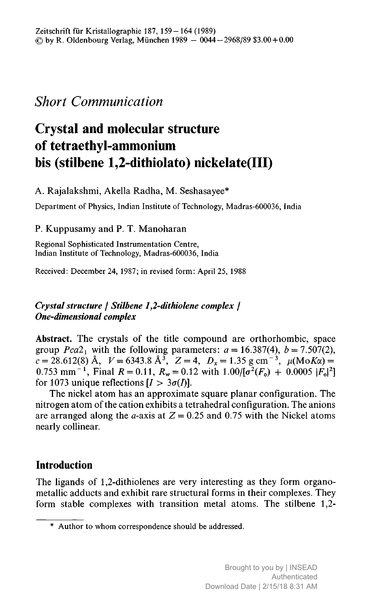## Short Communication

# Crystal and molecular structure of tetraethyl-ammonium bis (stilbene 1,2-dithiolato) nickelate(III)

A. Rajalakshmi, Akella Radha, M. Seshasayee\*

Department of Physics, Indian Institute of Technology, Madras-600036, India

### P. Kuppusamy and P. T. Manoharan

Regional Sophisticated Instrumentation Centre, Indian Institute of Technology, Madras-600036, India

Received: December 24, 1987; in revised form: April 25, 1988

### Crystal structure / Stilbene 1,2-dithiolene complex / One-dimensional complex

Abstract. The crystals of the title compound are orthorhombic, space group  $Pca2_1$  with the following parameters:  $a = 16.387(4)$ ,  $b = 7.507(2)$ ,  $c = 28.612(8)$  Å,  $V = 6343.8$  Å<sup>3</sup>,  $Z = 4$ ,  $D_x = 1.35$  g cm<sup>-3</sup>,  $\mu(\text{MoK}\alpha) =$ 0.753 mm<sup>-1</sup>, Final  $R = 0.11$ ,  $R_w = 0.12$  with  $1.00/[\sigma^2(F_o) + 0.0005 |F_o|^2]$ for 1073 unique reflections  $[I > 3\sigma(I)].$ 

The nickel atom has an approximate square planar configuration. The nitrogen atom of the cation exhibits <sup>a</sup> tetrahedral configuration. The anions are arranged along the *a*-axis at  $Z = 0.25$  and 0.75 with the Nickel atoms nearly collinear.

### Introduction

The ligands of 1,2-dithiolenes are very interesting as they form organometallic adducts and exhibit rare structural forms in their complexes. They form stable complexes with transition metal atoms. The stilbene 1,2-

<sup>\*</sup> Author to whom correspondence should be addressed.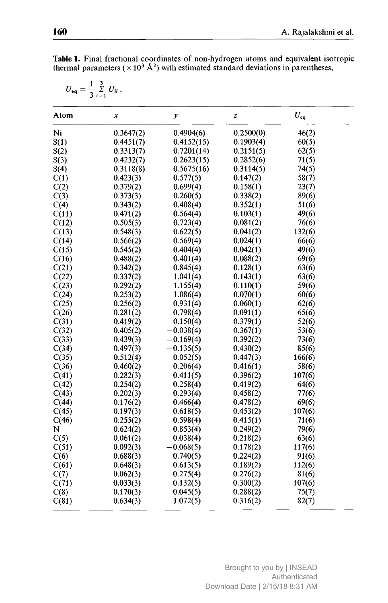| Atom  | x         | y           | z         | $U_{eq}$ |  |
|-------|-----------|-------------|-----------|----------|--|
| Ni    | 0.3647(2) | 0.4904(6)   | 0.2500(0) | 46(2)    |  |
| S(1)  | 0.4451(7) | 0.4152(15)  | 0.1903(4) | 60(5)    |  |
| S(2)  | 0.3313(7) | 0.7201(14)  | 0.2151(5) | 62(5)    |  |
| S(3)  | 0.4232(7) | 0.2623(15)  | 0.2852(6) | 71(5)    |  |
| S(4)  | 0.3118(8) | 0.5675(16)  | 0.3114(5) | 74(5)    |  |
| C(1)  | 0.423(3)  | 0.577(5)    | 0.147(2)  | 58(7)    |  |
| C(2)  | 0.379(2)  | 0.699(4)    | 0.158(1)  | 23(7)    |  |
| C(3)  | 0.373(3)  | 0.260(5)    | 0.338(2)  | 89(6)    |  |
| C(4)  | 0.343(2)  | 0.408(4)    | 0.352(1)  | 51(6)    |  |
| C(11) | 0.471(2)  | 0.564(4)    | 0.103(1)  | 49(6)    |  |
| C(12) | 0.505(3)  | 0.723(4)    | 0.081(2)  | 76(6)    |  |
| C(13) | 0.548(3)  | 0.622(5)    | 0.041(2)  | 132(6)   |  |
| C(14) | 0.566(2)  | 0.569(4)    | 0.024(1)  | 66(6)    |  |
| C(15) | 0.545(2)  | 0.404(4)    | 0.042(1)  | 49(6)    |  |
| C(16) | 0.488(2)  | 0.401(4)    | 0.088(2)  | 69(6)    |  |
| C(21) | 0.342(2)  | 0.845(4)    | 0.128(1)  | 63(6)    |  |
| C(22) | 0.337(2)  | 1.041(4)    | 0.143(1)  | 63(6)    |  |
| C(23) | 0.292(2)  | 1.155(4)    | 0.110(1)  | 59(6)    |  |
| C(24) | 0.253(2)  | 1.086(4)    | 0.070(1)  | 60(6)    |  |
| C(25) | 0.256(2)  | 0.931(4)    | 0.060(1)  | 62(6)    |  |
| C(26) | 0.281(2)  | 0.798(4)    | 0.091(1)  | 65(6)    |  |
| C(31) | 0.419(2)  | 0.150(4)    | 0.379(1)  | 52(6)    |  |
| C(32) | 0.405(2)  | $-0.038(4)$ | 0.367(1)  | 53(6)    |  |
| C(33) | 0.439(3)  | $-0.169(4)$ | 0.392(2)  | 73(6)    |  |
| C(34) | 0.497(3)  | $-0.135(5)$ | 0.430(2)  | 85(6)    |  |
| C(35) | 0.512(4)  | 0.052(5)    | 0.447(3)  | 166(6)   |  |
| C(36) | 0.460(2)  | 0.206(4)    | 0.416(1)  | 58(6)    |  |
| C(41) | 0.282(3)  | 0.411(5)    | 0.396(2)  | 107(6)   |  |
| C(42) | 0.254(2)  | 0.258(4)    | 0.419(2)  | 64(6)    |  |
| C(43) | 0.202(3)  | 0.293(4)    | 0.458(2)  | 77(6)    |  |
| C(44) | 0.176(2)  | 0.466(4)    | 0.478(2)  | 69(6)    |  |
| C(45) | 0.197(3)  | 0.618(5)    | 0.453(2)  | 107(6)   |  |
| C(46) | 0.255(2)  | 0.598(4)    | 0.415(1)  | 71(6)    |  |
| N     | 0.624(2)  | 0.853(4)    | 0.249(2)  | 79(6)    |  |
| C(5)  | 0.061(2)  | 0.038(4)    | 0.218(2)  | 63(6)    |  |
| C(51) | 0.092(3)  | $-0.068(5)$ | 0.178(2)  | 117(6)   |  |
| C(6)  | 0.688(3)  | 0.740(5)    | 0.224(2)  | 91(6)    |  |
| C(61) | 0.648(3)  | 0.613(5)    | 0.189(2)  | 112(6)   |  |
| C(7)  | 0.062(3)  | 0.275(4)    | 0.276(2)  | 81(6)    |  |
| C(71) | 0.033(3)  | 0.132(5)    | 0.300(2)  | 107(6)   |  |
| C(8)  | 0.170(3)  | 0.045(5)    | 0.288(2)  | 75(7)    |  |
| C(81) | 0.634(3)  | 1.072(5)    | 0.316(2)  | 82(7)    |  |

Table 1. Final fractional coordinates of non-hydrogen atoms and equivalent isotropic thermal parameters ( $\times 10^3$  Å<sup>2</sup>) with estimated standard deviations in parentheses,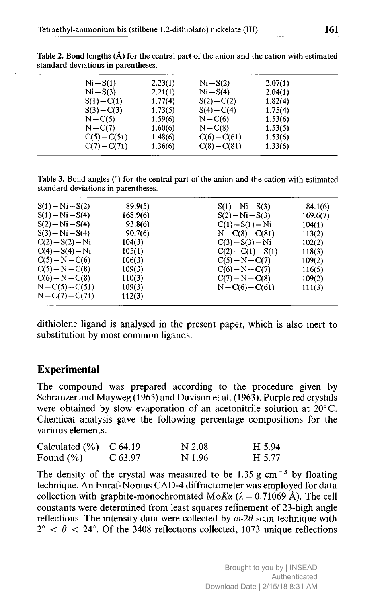| $Ni-S(1)$      | 2.23(1) | $Ni-S(2)$      | 2.07(1) |  |
|----------------|---------|----------------|---------|--|
| $Ni-S(3)$      | 2.21(1) | $Ni-S(4)$      | 2.04(1) |  |
| $S(1) - C(1)$  | 1.77(4) | $S(2) - C(2)$  | 1.82(4) |  |
| $S(3) - C(3)$  | 1.73(5) | $S(4) - C(4)$  | 1.75(4) |  |
| $N - C(5)$     | 1.59(6) | $N - C(6)$     | 1.53(6) |  |
| $N - C(7)$     | 1.60(6) | $N - C(8)$     | 1.53(5) |  |
| $C(5) - C(51)$ | 1.48(6) | $C(6)-C(61)$   | 1.53(6) |  |
| $C(7) - C(71)$ | 1.36(6) | $C(8) - C(81)$ | 1.33(6) |  |
|                |         |                |         |  |

**Table 2.** Bond lengths  $(\hat{A})$  for the central part of the anion and the cation with estimated standard deviations in parentheses.

Table 3. Bond angles (°) for the central part of the anion and the cation with estimated standard deviations in parentheses.

| $S(1) - Ni - S(2)$ | 89.9(5)  | $S(1) - Ni - S(3)$   | 84.1(6)  |
|--------------------|----------|----------------------|----------|
| $S(1) - Ni - S(4)$ | 168.9(6) | $S(2) - Ni - S(3)$   | 169.6(7) |
| $S(2) - Ni - S(4)$ | 93.8(6)  | $C(1) - S(1) - Ni$   | 104(1)   |
| $S(3) - Ni - S(4)$ | 90.7(6)  | $N - C(8) - C(81)$   | 113(2)   |
| $C(2) - S(2) - Ni$ | 104(3)   | $C(3) - S(3) - Ni$   | 102(2)   |
| $C(4) - S(4) - Ni$ | 105(1)   | $C(2) - C(1) - S(1)$ | 118(3)   |
| $C(5)-N-C(6)$      | 106(3)   | $C(5)-N-C(7)$        | 109(2)   |
| $C(5)-N-C(8)$      | 109(3)   | $C(6) - N - C(7)$    | 116(5)   |
| $C(6) - N - C(8)$  | 110(3)   | $C(7) - N - C(8)$    | 109(2)   |
| $N - C(5) - C(51)$ | 109(3)   | $N - C(6) - C(61)$   | 111(3)   |
| $N - C(7) - C(71)$ | 112(3)   |                      |          |

dithiolene ligand is analysed in the present paper, which is also inert to substitution by most common ligands.

### Experimental

The compound was prepared according to the procedure given by Schrauzer and Mayweg (1965) and Davison et al. (1963). Purple red crystals were obtained by slow evaporation of an acetonitrile solution at 20° C. Chemical analysis gave the following percentage compositions for the various elements.

| Calculated $(\% )$ C 64.19 |             | N 2.08 | H 5.94 |
|----------------------------|-------------|--------|--------|
| Found $(\% )$              | $C_{63.97}$ | N 1.96 | H 5.77 |

The density of the crystal was measured to be 1.35 g cm<sup>-3</sup> by floating technique. An Enraf-Nonius CAD-4 diffractometer was employed for data collection with graphite-monochromated MoK $\alpha$  ( $\lambda = 0.71069$  Å). The cell constants were determined from least squares refinement of 23-high angle reflections. The intensity data were collected by  $\omega$ -2 $\theta$  scan technique with  $2^{\circ}$  <  $\theta$  < 24°. Of the 3408 reflections collected, 1073 unique reflections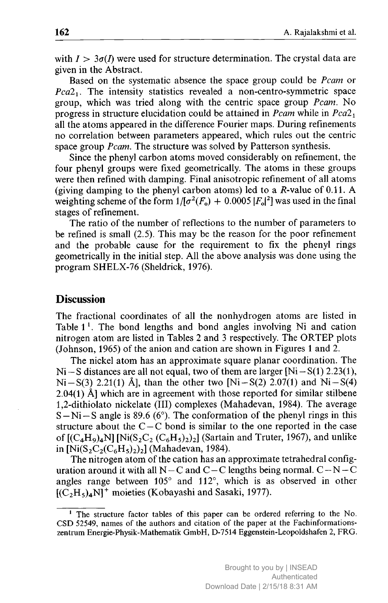with  $I > 3\sigma(I)$  were used for structure determination. The crystal data are given in the Abstract.

Based on the systematic absence the space group could be *Pcam* or  $Pca2<sub>1</sub>$ . The intensity statistics revealed a non-centro-symmetric space group, which was tried along with the centric space group Pcam. No progress in structure elucidation could be attained in  $Pcam$  while in  $Pca2<sub>1</sub>$ all the atoms appeared in the difference Fourier maps. During refinements no correlation between parameters appeared, which rules out the centric space group Pcam. The structure was solved by Patterson synthesis.

Since the phenyl carbon atoms moved considerably on refinement, the four phenyl groups were fixed geometrically. The atoms in these groups were then refined with damping. Final anisotropic refinement of all atoms (giving damping to the phenyl carbon atoms) led to a  $R$ -value of 0.11. A weighting scheme of the form  $1/[\sigma^2(F_o) + 0.0005 |F_o|^2]$  was used in the final stages of refinement.

The ratio of the number of reflections to the number of parameters to be refined is small (2.5). This may be the reason for the poor refinement and the probable cause for the requirement to fix the phenyl rings geometrically in the initial step. All the above analysis was done using the program SHELX-76 (Sheldrick, 1976).

### **Discussion**

The fractional coordinates of all the nonhydrogen atoms are listed in Table  $1^1$ . The bond lengths and bond angles involving Ni and cation nitrogen atom are listed in Tables <sup>2</sup> and <sup>3</sup> respectively. The ORTEP plots (Johnson, 1965) of the anion and cation are shown in Figures <sup>1</sup> and 2.

The nickel atom has an approximate square planar coordination. The  $Ni-S$  distances are all not equal, two of them are larger  $[Ni-S(1) 2.23(1),$  $Ni-S(3)$  2.21(1) Å], than the other two [Ni-S(2) 2.07(1) and Ni-S(4)  $2.04(1)$  Å] which are in agreement with those reported for similar stilbene 1,2-dithiolato nickelate (III) complexes (Mahadevan, 1984). The average  $S-Ni-S$  angle is 89.6 (6°). The conformation of the phenyl rings in this structure about the C – C bond is similar to the one reported in the case of  $[(C_4H_9)_4N]$  [Ni $(S_2C_2(C_6H_5)_2)_2$ ] (Sartain and Truter, 1967), and unlike in  $[Ni(S_2C_2(C_6H_5)_2)_2]$  (Mahadevan, 1984).

The nitrogen atom of the cation has an approximate tetrahedral configuration around it with all  $N - C$  and  $C - C$  lengths being normal.  $C - N - C$ angles range between 105° and 112°, which is as observed in other  $[(C<sub>2</sub>H<sub>5</sub>)<sub>4</sub>N]^+$  moieties (Kobayashi and Sasaki, 1977).

<sup>&</sup>lt;sup>1</sup> The structure factor tables of this paper can be ordered referring to the No. CSD 52549, names of the authors and citation of the paper at the Fachinformationszentrum Energie-Physik-Mathematik GmbH, D-7514 Eggenstein-Leopoldshafen 2, FRG.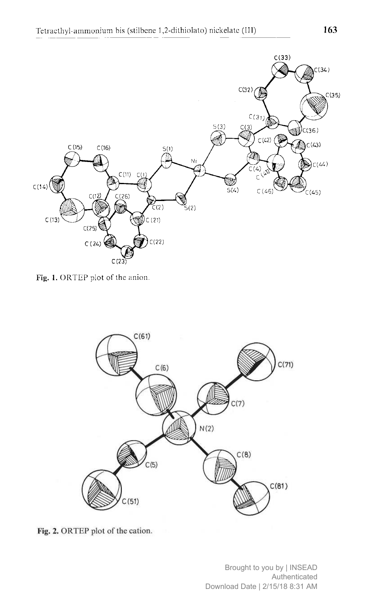

Fig. 1. ORTEP plot of the anion.



Fig. 2. ORTEP plot of the cation.